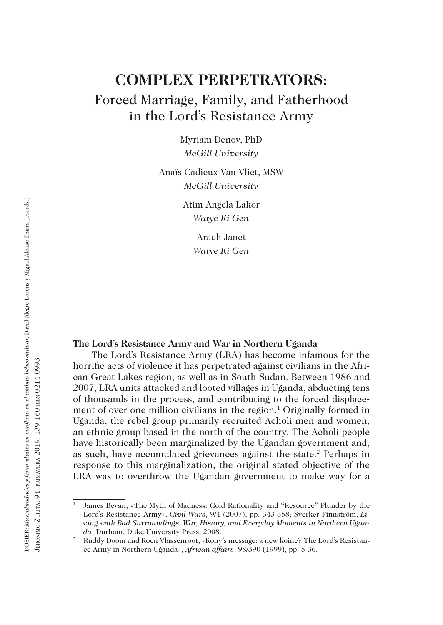# **COMPLEX PERPETRATORS:** Forced Marriage, Family, and Fatherhood in the Lord's Resistance Army

Myriam Denov, PhD *McGill University*

Anaïs Cadieux Van Vliet, MSW *McGill University*

> Atim Angela Lakor *Watye Ki Gen*

> > Arach Janet *Watye Ki Gen*

# **The Lord's Resistance Army and War in Northern Uganda**

The Lord's Resistance Army (LRA) has become infamous for the horrific acts of violence it has perpetrated against civilians in the African Great Lakes region, as well as in South Sudan. Between 1986 and 2007, LRA units attacked and looted villages in Uganda, abducting tens of thousands in the process, and contributing to the forced displacement of over one million civilians in the region.<sup>1</sup> Originally formed in Uganda, the rebel group primarily recruited Acholi men and women, an ethnic group based in the north of the country. The Acholi people have historically been marginalized by the Ugandan government and, as such, have accumulated grievances against the state.<sup>2</sup> Perhaps in response to this marginalization, the original stated objective of the LRA was to overthrow the Ugandan government to make way for a

<sup>1</sup> James Bevan, «The Myth of Madness: Cold Rationality and "Resource" Plunder by the Lord's Resistance Army», *Civil Wars*, 9/4 (2007), pp. 343-358; Sverker Finnström, *Living with Bad Surroundings: War, History, and Everyday Moments in Northern Uganda*, Durham, Duke University Press, 2008.

<sup>2</sup> Ruddy Doom and Koen Vlassenroot, «Kony's message: a new koine? The Lord's Resistance Army in Northern Uganda», *African affairs*, 98/390 (1999), pp. 5-36.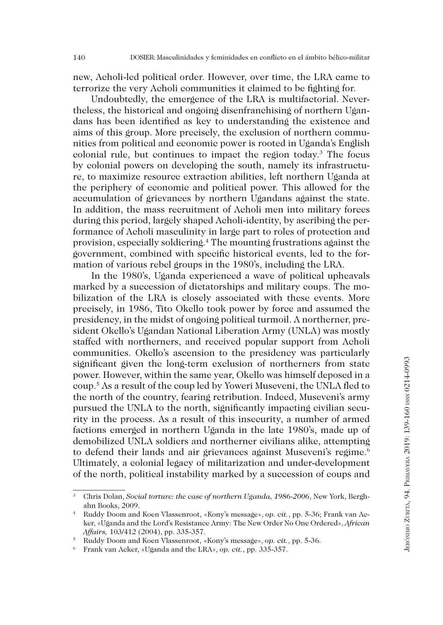new, Acholi-led political order. However, over time, the LRA came to terrorize the very Acholi communities it claimed to be fighting for.

Undoubtedly, the emergence of the LRA is multifactorial. Nevertheless, the historical and ongoing disenfranchising of northern Ugandans has been identified as key to understanding the existence and aims of this group. More precisely, the exclusion of northern communities from political and economic power is rooted in Uganda's English colonial rule, but continues to impact the region today.3 The focus by colonial powers on developing the south, namely its infrastructure, to maximize resource extraction abilities, left northern Uganda at the periphery of economic and political power. This allowed for the accumulation of grievances by northern Ugandans against the state. In addition, the mass recruitment of Acholi men into military forces during this period, largely shaped Acholi-identity, by ascribing the performance of Acholi masculinity in large part to roles of protection and provision, especially soldiering.4 The mounting frustrations against the government, combined with specific historical events, led to the formation of various rebel groups in the 1980's, including the LRA.

In the 1980's, Uganda experienced a wave of political upheavals marked by a succession of dictatorships and military coups. The mobilization of the LRA is closely associated with these events. More precisely, in 1986, Tito Okello took power by force and assumed the presidency, in the midst of ongoing political turmoil. A northerner, president Okello's Ugandan National Liberation Army (UNLA) was mostly staffed with northerners, and received popular support from Acholi communities. Okello's ascension to the presidency was particularly significant given the long-term exclusion of northerners from state power. However, within the same year, Okello was himself deposed in a coup.5 As a result of the coup led by Yoweri Museveni, the UNLA fled to the north of the country, fearing retribution. Indeed, Museveni's army pursued the UNLA to the north, significantly impacting civilian security in the process. As a result of this insecurity, a number of armed factions emerged in northern Uganda in the late 1980's, made up of demobilized UNLA soldiers and northerner civilians alike, attempting to defend their lands and air grievances against Museveni's regime.<sup>6</sup> Ultimately, a colonial legacy of militarization and under-development of the north, political instability marked by a succession of coups and

<sup>&</sup>lt;sup>3</sup> Chris Dolan, *Social torture: the case of northern Uganda*, 1986-2006, New York, Berghahn Books, 2009.

<sup>4</sup> Ruddy Doom and Koen Vlassenroot, «Kony's message», *op. cit.*, pp. 5-36; Frank van Acker, «Uganda and the Lord's Resistance Army: The New Order No One Ordered», *African Affairs,* 103/412 (2004), pp. 335-357.

<sup>5</sup> Ruddy Doom and Koen Vlassenroot, «Kony's message», *op. cit.*, pp. 5-36. 6 Frank van Acker, «Uganda and the LRA», *op. cit.*, pp. 335-357.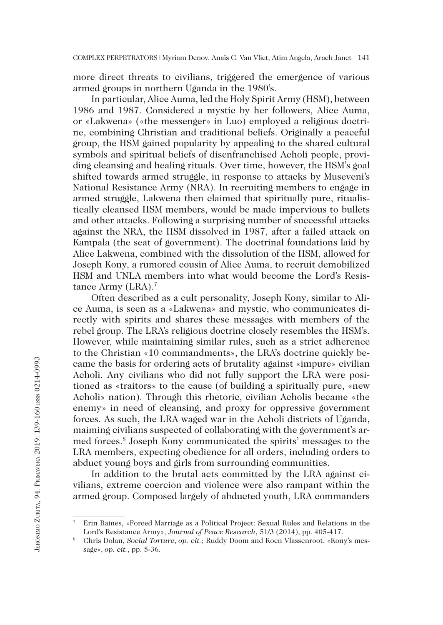141 COMPLEX PERPETRATORS | Myriam Denov, Anaïs C. Van Vliet, Atim Angela, Arach Janet

more direct threats to civilians, triggered the emergence of various armed groups in northern Uganda in the 1980's.

In particular, Alice Auma, led the Holy Spirit Army (HSM), between 1986 and 1987. Considered a mystic by her followers, Alice Auma, or «Lakwena» («the messenger» in Luo) employed a religious doctrine, combining Christian and traditional beliefs. Originally a peaceful group, the HSM gained popularity by appealing to the shared cultural symbols and spiritual beliefs of disenfranchised Acholi people, providing cleansing and healing rituals. Over time, however, the HSM's goal shifted towards armed struggle, in response to attacks by Museveni's National Resistance Army (NRA). In recruiting members to engage in armed struggle, Lakwena then claimed that spiritually pure, ritualistically cleansed HSM members, would be made impervious to bullets and other attacks. Following a surprising number of successful attacks against the NRA, the HSM dissolved in 1987, after a failed attack on Kampala (the seat of government). The doctrinal foundations laid by Alice Lakwena, combined with the dissolution of the HSM, allowed for Joseph Kony, a rumored cousin of Alice Auma, to recruit demobilized HSM and UNLA members into what would become the Lord's Resistance Army (LRA).<sup>7</sup>

Often described as a cult personality, Joseph Kony, similar to Alice Auma, is seen as a «Lakwena» and mystic, who communicates directly with spirits and shares these messages with members of the rebel group. The LRA's religious doctrine closely resembles the HSM's. However, while maintaining similar rules, such as a strict adherence to the Christian «10 commandments», the LRA's doctrine quickly became the basis for ordering acts of brutality against «impure» civilian Acholi. Any civilians who did not fully support the LRA were positioned as «traitors» to the cause (of building a spiritually pure, «new Acholi» nation). Through this rhetoric, civilian Acholis became «the enemy» in need of cleansing, and proxy for oppressive government forces. As such, the LRA waged war in the Acholi districts of Uganda, maiming civilians suspected of collaborating with the government's armed forces.8 Joseph Kony communicated the spirits' messages to the LRA members, expecting obedience for all orders, including orders to abduct young boys and girls from surrounding communities.

In addition to the brutal acts committed by the LRA against civilians, extreme coercion and violence were also rampant within the armed group. Composed largely of abducted youth, LRA commanders

<sup>7</sup> Erin Baines, «Forced Marriage as a Political Project: Sexual Rules and Relations in the Lord's Resistance Army», *Journal of Peace Research*, 51/3 (2014), pp. 405-417.

<sup>8</sup> Chris Dolan, *Social Torture*, *op. cit.*; Ruddy Doom and Koen Vlassenroot, «Kony's message», *op. cit.*, pp. 5-36.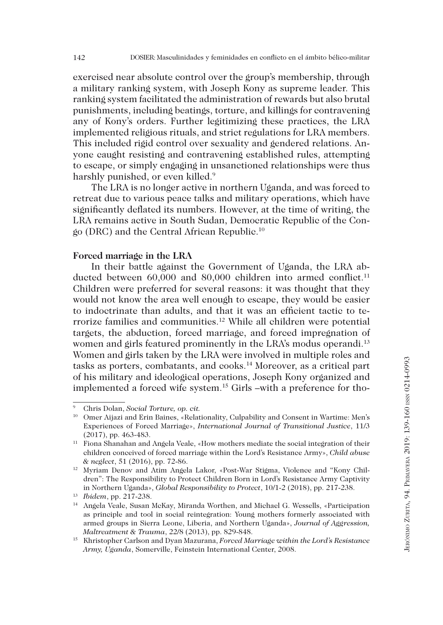exercised near absolute control over the group's membership, through a military ranking system, with Joseph Kony as supreme leader. This ranking system facilitated the administration of rewards but also brutal punishments, including beatings, torture, and killings for contravening any of Kony's orders. Further legitimizing these practices, the LRA implemented religious rituals, and strict regulations for LRA members. This included rigid control over sexuality and gendered relations. Anyone caught resisting and contravening established rules, attempting to escape, or simply engaging in unsanctioned relationships were thus harshly punished, or even killed.<sup>9</sup>

The LRA is no longer active in northern Uganda, and was forced to retreat due to various peace talks and military operations, which have significantly deflated its numbers. However, at the time of writing, the LRA remains active in South Sudan, Democratic Republic of the Congo (DRC) and the Central African Republic.10

## **Forced marriage in the LRA**

In their battle against the Government of Uganda, the LRA abducted between 60,000 and 80,000 children into armed conflict.<sup>11</sup> Children were preferred for several reasons: it was thought that they would not know the area well enough to escape, they would be easier to indoctrinate than adults, and that it was an efficient tactic to terrorize families and communities.12 While all children were potential targets, the abduction, forced marriage, and forced impregnation of women and girls featured prominently in the LRA's modus operandi.<sup>13</sup> Women and girls taken by the LRA were involved in multiple roles and tasks as porters, combatants, and cooks.14 Moreover, as a critical part of his military and ideological operations, Joseph Kony organized and implemented a forced wife system.15 Girls –with a preference for tho-

<sup>9</sup> Chris Dolan, *Social Torture, op. cit.*

<sup>&</sup>lt;sup>10</sup> Omer Aijazi and Erin Baines, «Relationality, Culpability and Consent in Wartime: Men's Experiences of Forced Marriage», *International Journal of Transitional Justice*, 11/3 (2017), pp. 463-483.

<sup>11</sup> Fiona Shanahan and Angela Veale, «How mothers mediate the social integration of their children conceived of forced marriage within the Lord's Resistance Army», *Child abuse & neglect*, 51 (2016), pp. 72-86.

<sup>12</sup> Myriam Denov and Atim Angela Lakor, «Post-War Stigma, Violence and "Kony Children": The Responsibility to Protect Children Born in Lord's Resistance Army Captivity in Northern Uganda», *Global Responsibility to Protect*, 10/1-2 (2018), pp. 217-238.

<sup>13</sup> *Ibidem*, pp. 217-238.

<sup>14</sup> Angela Veale, Susan McKay, Miranda Worthen, and Michael G. Wessells, «Participation as principle and tool in social reintegration: Young mothers formerly associated with armed groups in Sierra Leone, Liberia, and Northern Uganda», *Journal of Aggression, Maltreatment & Trauma*, 22/8 (2013), pp. 829-848.

<sup>15</sup> Khristopher Carlson and Dyan Mazurana, *Forced Marriage within the Lord's Resistance Army, Uganda*, Somerville, Feinstein International Center, 2008.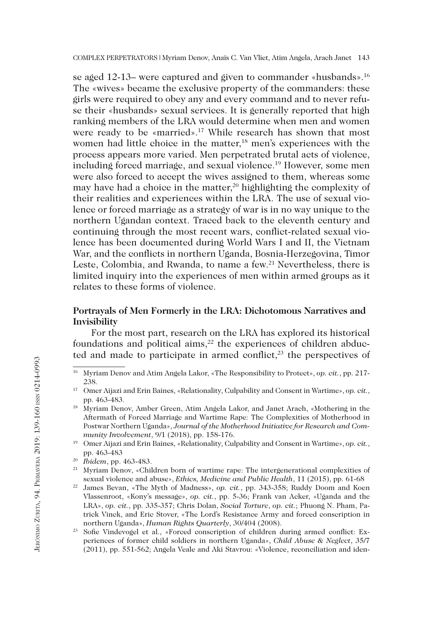143 COMPLEX PERPETRATORS | Myriam Denov, Anaïs C. Van Vliet, Atim Angela, Arach Janet

se aged 12-13– were captured and given to commander «husbands».<sup>16</sup> The «wives» became the exclusive property of the commanders: these girls were required to obey any and every command and to never refuse their «husbands» sexual services. It is generally reported that high ranking members of the LRA would determine when men and women were ready to be «married».17 While research has shown that most women had little choice in the matter,<sup>18</sup> men's experiences with the process appears more varied. Men perpetrated brutal acts of violence, including forced marriage, and sexual violence.19 However, some men were also forced to accept the wives assigned to them, whereas some may have had a choice in the matter,<sup>20</sup> highlighting the complexity of their realities and experiences within the LRA. The use of sexual violence or forced marriage as a strategy of war is in no way unique to the northern Ugandan context. Traced back to the eleventh century and continuing through the most recent wars, conflict-related sexual violence has been documented during World Wars I and II, the Vietnam War, and the conflicts in northern Uganda, Bosnia-Herzegovina, Timor Leste, Colombia, and Rwanda, to name a few.<sup>21</sup> Nevertheless, there is limited inquiry into the experiences of men within armed groups as it relates to these forms of violence.

# **Portrayals of Men Formerly in the LRA: Dichotomous Narratives and Invisibility**

For the most part, research on the LRA has explored its historical foundations and political aims, $2$ <sup>2</sup> the experiences of children abducted and made to participate in armed conflict, $2<sup>3</sup>$  the perspectives of

<sup>16</sup> Myriam Denov and Atim Angela Lakor, «The Responsibility to Protect», *op. cit.*, pp. 217- 238.

<sup>17</sup> Omer Aijazi and Erin Baines, «Relationality, Culpability and Consent in Wartime», *op. cit.*, pp. 463-483.

<sup>18</sup> Myriam Denov, Amber Green, Atim Angela Lakor, and Janet Arach, «Mothering in the Aftermath of Forced Marriage and Wartime Rape: The Complexities of Motherhood in Postwar Northern Uganda», *Journal of the Motherhood Initiative for Research and Community Involvement*, 9/1 (2018), pp. 158-176.

<sup>19</sup> Omer Aijazi and Erin Baines, «Relationality, Culpability and Consent in Wartime», *op. cit.*, pp. 463-483

<sup>20</sup> *Ibidem*, pp. 463-483.

<sup>&</sup>lt;sup>21</sup> Myriam Denov, «Children born of wartime rape: The intergenerational complexities of sexual violence and abuse», *Ethics, Medicine and Public Health*, 11 (2015), pp. 61-68

<sup>22</sup> James Bevan, «The Myth of Madness», *op. cit.*, pp. 343-358; Ruddy Doom and Koen Vlassenroot, «Kony's message», *op. cit.*, pp. 5-36; Frank van Acker, «Uganda and the LRA», *op. cit.*, pp. 335-357; Chris Dolan, *Social Torture*, *op. cit.*; Phuong N. Pham, Patrick Vinck, and Eric Stover, «The Lord's Resistance Army and forced conscription in northern Uganda», *Human Rights Quarterly*, 30/404 (2008).

<sup>23</sup> Sofie Vindevogel et al., «Forced conscription of children during armed conflict: Experiences of former child soldiers in northern Uganda», *Child Abuse & Neglect*, 35/7 (2011), pp. 551-562; Angela Veale and Aki Stavrou: «Violence, reconciliation and iden-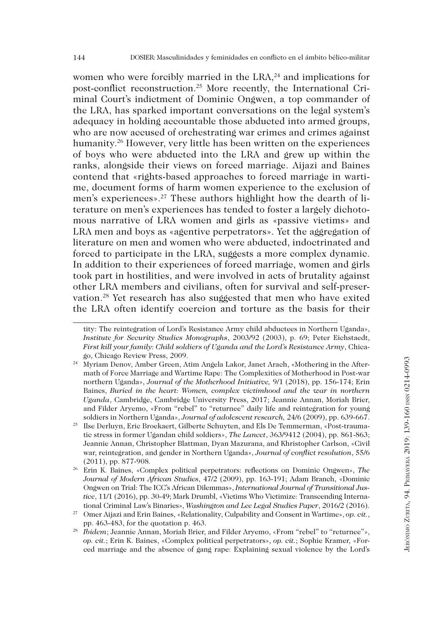women who were forcibly married in the LRA,<sup>24</sup> and implications for post-conflict reconstruction.25 More recently, the International Criminal Court's indictment of Dominic Ongwen, a top commander of the LRA, has sparked important conversations on the legal system's adequacy in holding accountable those abducted into armed groups, who are now accused of orchestrating war crimes and crimes against humanity.<sup>26</sup> However, very little has been written on the experiences of boys who were abducted into the LRA and grew up within the ranks, alongside their views on forced marriage. Aijazi and Baines contend that «rights-based approaches to forced marriage in wartime, document forms of harm women experience to the exclusion of men's experiences».27 These authors highlight how the dearth of literature on men's experiences has tended to foster a largely dichotomous narrative of LRA women and girls as «passive victims» and LRA men and boys as «agentive perpetrators». Yet the aggregation of literature on men and women who were abducted, indoctrinated and forced to participate in the LRA, suggests a more complex dynamic. In addition to their experiences of forced marriage, women and girls took part in hostilities, and were involved in acts of brutality against other LRA members and civilians, often for survival and self-preservation.28 Yet research has also suggested that men who have exited the LRA often identify coercion and torture as the basis for their

tity: The reintegration of Lord's Resistance Army child abductees in Northern Uganda», *Institute for Security Studies Monographs*, 2003/92 (2003), p. 69; Peter Eichstaedt, *First kill your family: Child soldiers of Uganda and the Lord's Resistance Army*, Chicago, Chicago Review Press, 2009.

<sup>24</sup> Myriam Denov, Amber Green, Atim Angela Lakor, Janet Arach, «Mothering in the Aftermath of Force Marriage and Wartime Rape: The Complexities of Motherhood in Post-war northern Uganda», *Journal of the Motherhood Initiative,* 9/1 (2018), pp. 156-174; Erin Baines, *Buried in the heart: Women, complex victimhood and the war in northern Uganda*, Cambridge, Cambridge University Press, 2017; Jeannie Annan, Moriah Brier, and Filder Aryemo, «From "rebel" to "returnee" daily life and reintegration for young soldiers in Northern Uganda», *Journal of adolescent research,* 24/6 (2009), pp. 639-667.

<sup>25</sup> Ilse Derluyn, Eric Broekaert, Gilberte Schuyten, and Els De Temmerman, «Post-traumatic stress in former Ugandan child soldiers», *The Lancet*, 363/9412 (2004), pp. 861-863; Jeannie Annan, Christopher Blattman, Dyan Mazurana, and Khristopher Carlson, «Civil war, reintegration, and gender in Northern Uganda», *Journal of conflict resolution*, 55/6 (2011), pp. 877-908.

<sup>26</sup> Erin K. Baines, «Complex political perpetrators: reflections on Dominic Ongwen», *The Journal of Modern African Studies*, 47/2 (2009), pp. 163-191; Adam Branch, «Dominic Ongwen on Trial: The ICC's African Dilemmas», *International Journal of Transitional Justice*, 11/1 (2016), pp. 30-49; Mark Drumbl, «Victims Who Victimize: Transcending International Criminal Law's Binaries», *Washington and Lee Legal Studies Paper*, 2016/2 (2016).

<sup>27</sup> Omer Aijazi and Erin Baines, «Relationality, Culpability and Consent in Wartime», *op. cit.*, pp. 463-483, for the quotation p. 463.

<sup>28</sup> *Ibidem*; Jeannie Annan, Moriah Brier, and Filder Aryemo, «From "rebel" to "returnee"», *op. cit.*; Erin K. Baines, «Complex political perpetrators», *op. cit.*; Sophie Kramer, «Forced marriage and the absence of gang rape: Explaining sexual violence by the Lord's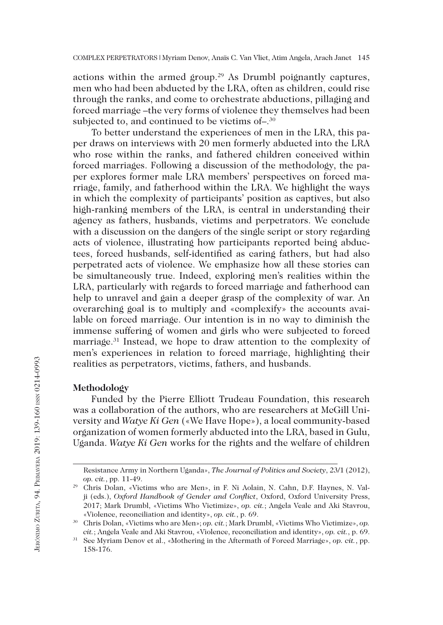actions within the armed group.<sup>29</sup> As Drumbl poignantly captures, men who had been abducted by the LRA, often as children, could rise through the ranks, and come to orchestrate abductions, pillaging and forced marriage –the very forms of violence they themselves had been subjected to, and continued to be victims of -.<sup>30</sup>

To better understand the experiences of men in the LRA, this paper draws on interviews with 20 men formerly abducted into the LRA who rose within the ranks, and fathered children conceived within forced marriages. Following a discussion of the methodology, the paper explores former male LRA members' perspectives on forced marriage, family, and fatherhood within the LRA. We highlight the ways in which the complexity of participants' position as captives, but also high-ranking members of the LRA, is central in understanding their agency as fathers, husbands, victims and perpetrators. We conclude with a discussion on the dangers of the single script or story regarding acts of violence, illustrating how participants reported being abductees, forced husbands, self-identified as caring fathers, but had also perpetrated acts of violence. We emphasize how all these stories can be simultaneously true. Indeed, exploring men's realities within the LRA, particularly with regards to forced marriage and fatherhood can help to unravel and gain a deeper grasp of the complexity of war. An overarching goal is to multiply and «complexify» the accounts available on forced marriage. Our intention is in no way to diminish the immense suffering of women and girls who were subjected to forced marriage.31 Instead, we hope to draw attention to the complexity of men's experiences in relation to forced marriage, highlighting their realities as perpetrators, victims, fathers, and husbands.

## **Methodology**

Funded by the Pierre Elliott Trudeau Foundation, this research was a collaboration of the authors, who are researchers at McGill University and *Watye Ki Gen* («We Have Hope»), a local community-based organization of women formerly abducted into the LRA, based in Gulu, Uganda. *Watye Ki Gen* works for the rights and the welfare of children

Resistance Army in Northern Uganda», *The Journal of Politics and Society*, 23/1 (2012), *op. cit.*, pp. 11-49.<br><sup>29</sup> Chris Dolan, «Victims who are Men», in F. Ni Aolain, N. Cahn, D.F. Haynes, N. Val-

ji (eds.), *Oxford Handbook of Gender and Conflict*, Oxford, Oxford University Press, 2017; Mark Drumbl, «Victims Who Victimize», *op. cit.*; Angela Veale and Aki Stavrou, «Violence, reconciliation and identity», *op. cit.*, p. 69.

<sup>30</sup> Chris Dolan, «Victims who are Men»; *op. cit.*; Mark Drumbl, «Victims Who Victimize», *op. cit.*; Angela Veale and Aki Stavrou, «Violence, reconciliation and identity», *op. cit.*, p. 69.

<sup>31</sup> See Myriam Denov et al., «Mothering in the Aftermath of Forced Marriage», *op. cit.*, pp. 158-176.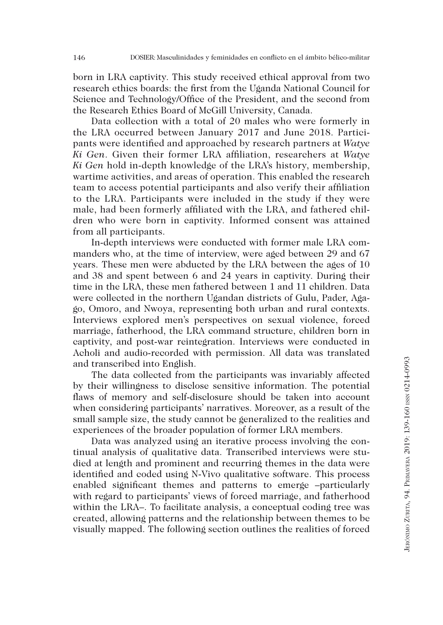born in LRA captivity. This study received ethical approval from two research ethics boards: the first from the Uganda National Council for Science and Technology/Office of the President, and the second from the Research Ethics Board of McGill University, Canada.

Data collection with a total of 20 males who were formerly in the LRA occurred between January 2017 and June 2018. Participants were identified and approached by research partners at *Watye Ki Gen*. Given their former LRA affiliation, researchers at *Watye Ki Gen* hold in-depth knowledge of the LRA's history, membership, wartime activities, and areas of operation. This enabled the research team to access potential participants and also verify their affiliation to the LRA. Participants were included in the study if they were male, had been formerly affiliated with the LRA, and fathered children who were born in captivity. Informed consent was attained from all participants.

In-depth interviews were conducted with former male LRA commanders who, at the time of interview, were aged between 29 and 67 years. These men were abducted by the LRA between the ages of 10 and 38 and spent between 6 and 24 years in captivity. During their time in the LRA, these men fathered between 1 and 11 children. Data were collected in the northern Ugandan districts of Gulu, Pader, Agago, Omoro, and Nwoya, representing both urban and rural contexts. Interviews explored men's perspectives on sexual violence, forced marriage, fatherhood, the LRA command structure, children born in captivity, and post-war reintegration. Interviews were conducted in Acholi and audio-recorded with permission. All data was translated and transcribed into English.

The data collected from the participants was invariably affected by their willingness to disclose sensitive information. The potential flaws of memory and self-disclosure should be taken into account when considering participants' narratives. Moreover, as a result of the small sample size, the study cannot be generalized to the realities and experiences of the broader population of former LRA members.

Data was analyzed using an iterative process involving the continual analysis of qualitative data. Transcribed interviews were studied at length and prominent and recurring themes in the data were identified and coded using N-Vivo qualitative software. This process enabled significant themes and patterns to emerge –particularly with regard to participants' views of forced marriage, and fatherhood within the LRA–. To facilitate analysis, a conceptual coding tree was created, allowing patterns and the relationship between themes to be visually mapped. The following section outlines the realities of forced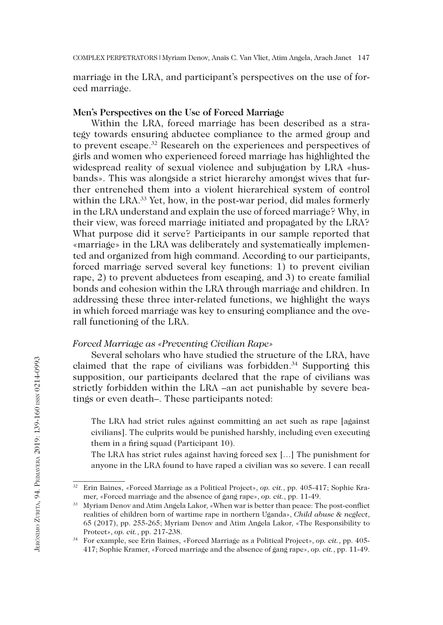marriage in the LRA, and participant's perspectives on the use of forced marriage.

## **Men's Perspectives on the Use of Forced Marriage**

Within the LRA, forced marriage has been described as a strategy towards ensuring abductee compliance to the armed group and to prevent escape.32 Research on the experiences and perspectives of girls and women who experienced forced marriage has highlighted the widespread reality of sexual violence and subjugation by LRA «husbands». This was alongside a strict hierarchy amongst wives that further entrenched them into a violent hierarchical system of control within the LRA.<sup>33</sup> Yet, how, in the post-war period, did males formerly in the LRA understand and explain the use of forced marriage? Why, in their view, was forced marriage initiated and propagated by the LRA? What purpose did it serve? Participants in our sample reported that «marriage» in the LRA was deliberately and systematically implemented and organized from high command. According to our participants, forced marriage served several key functions: 1) to prevent civilian rape, 2) to prevent abductees from escaping, and 3) to create familial bonds and cohesion within the LRA through marriage and children. In addressing these three inter-related functions, we highlight the ways in which forced marriage was key to ensuring compliance and the overall functioning of the LRA.

## *Forced Marriage as «Preventing Civilian Rape»*

Several scholars who have studied the structure of the LRA, have claimed that the rape of civilians was forbidden.<sup>34</sup> Supporting this supposition, our participants declared that the rape of civilians was strictly forbidden within the LRA –an act punishable by severe beatings or even death–. These participants noted:

The LRA had strict rules against committing an act such as rape [against civilians]. The culprits would be punished harshly, including even executing them in a firing squad (Participant 10).

The LRA has strict rules against having forced sex […] The punishment for anyone in the LRA found to have raped a civilian was so severe. I can recall

<sup>32</sup> Erin Baines, «Forced Marriage as a Political Project», *op. cit.*, pp. 405-417; Sophie Kramer, «Forced marriage and the absence of gang rape», *op. cit.*, pp. 11-49.

<sup>33</sup> Myriam Denov and Atim Angela Lakor, «When war is better than peace: The post-conflict realities of children born of wartime rape in northern Uganda», *Child abuse & neglect*, 65 (2017), pp. 255-265; Myriam Denov and Atim Angela Lakor, «The Responsibility to Protect», *op. cit.*, pp. 217-238.

<sup>34</sup> For example, see Erin Baines, «Forced Marriage as a Political Project», *op. cit.*, pp. 405- 417; Sophie Kramer, «Forced marriage and the absence of gang rape», *op. cit.*, pp. 11-49.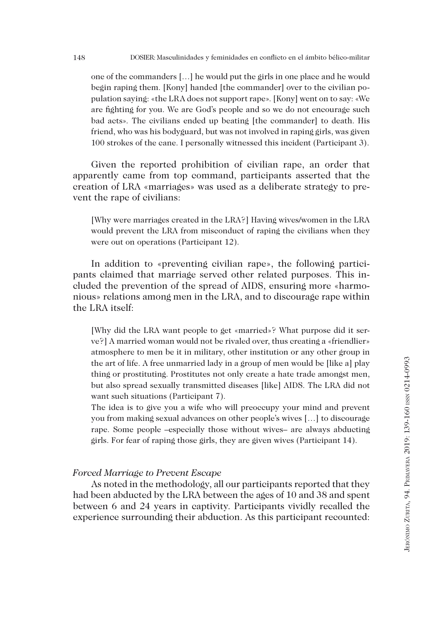one of the commanders […] he would put the girls in one place and he would begin raping them. [Kony] handed [the commander] over to the civilian population saying: «the LRA does not support rape». [Kony] went on to say: «We are fighting for you. We are God's people and so we do not encourage such bad acts». The civilians ended up beating [the commander] to death. His friend, who was his bodyguard, but was not involved in raping girls, was given 100 strokes of the cane. I personally witnessed this incident (Participant 3).

Given the reported prohibition of civilian rape, an order that apparently came from top command, participants asserted that the creation of LRA «marriages» was used as a deliberate strategy to prevent the rape of civilians:

[Why were marriages created in the LRA?] Having wives/women in the LRA would prevent the LRA from misconduct of raping the civilians when they were out on operations (Participant 12).

In addition to «preventing civilian rape», the following participants claimed that marriage served other related purposes. This included the prevention of the spread of AIDS, ensuring more «harmonious» relations among men in the LRA, and to discourage rape within the LRA itself:

[Why did the LRA want people to get «married»? What purpose did it serve?] A married woman would not be rivaled over, thus creating a «friendlier» atmosphere to men be it in military, other institution or any other group in the art of life. A free unmarried lady in a group of men would be [like a] play thing or prostituting. Prostitutes not only create a hate trade amongst men, but also spread sexually transmitted diseases [like] AIDS. The LRA did not want such situations (Participant 7).

The idea is to give you a wife who will preoccupy your mind and prevent you from making sexual advances on other people's wives […] to discourage rape. Some people –especially those without wives– are always abducting girls. For fear of raping those girls, they are given wives (Participant 14).

# *Forced Marriage to Prevent Escape*

As noted in the methodology, all our participants reported that they had been abducted by the LRA between the ages of 10 and 38 and spent between 6 and 24 years in captivity. Participants vividly recalled the experience surrounding their abduction. As this participant recounted: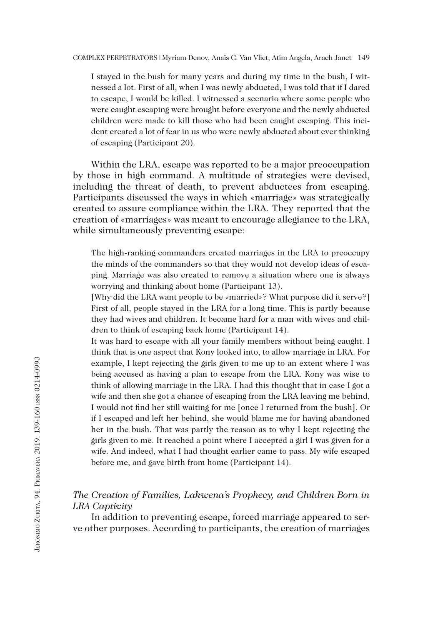I stayed in the bush for many years and during my time in the bush, I witnessed a lot. First of all, when I was newly abducted, I was told that if I dared to escape, I would be killed. I witnessed a scenario where some people who were caught escaping were brought before everyone and the newly abducted children were made to kill those who had been caught escaping. This incident created a lot of fear in us who were newly abducted about ever thinking of escaping (Participant 20).

Within the LRA, escape was reported to be a major preoccupation by those in high command. A multitude of strategies were devised, including the threat of death, to prevent abductees from escaping. Participants discussed the ways in which «marriage» was strategically created to assure compliance within the LRA. They reported that the creation of «marriages» was meant to encourage allegiance to the LRA, while simultaneously preventing escape:

The high-ranking commanders created marriages in the LRA to preoccupy the minds of the commanders so that they would not develop ideas of escaping. Marriage was also created to remove a situation where one is always worrying and thinking about home (Participant 13).

[Why did the LRA want people to be «married»? What purpose did it serve?] First of all, people stayed in the LRA for a long time. This is partly because they had wives and children. It became hard for a man with wives and children to think of escaping back home (Participant 14).

It was hard to escape with all your family members without being caught. I think that is one aspect that Kony looked into, to allow marriage in LRA. For example, I kept rejecting the girls given to me up to an extent where I was being accused as having a plan to escape from the LRA. Kony was wise to think of allowing marriage in the LRA. I had this thought that in case I got a wife and then she got a chance of escaping from the LRA leaving me behind, I would not find her still waiting for me [once I returned from the bush]. Or if I escaped and left her behind, she would blame me for having abandoned her in the bush. That was partly the reason as to why I kept rejecting the girls given to me. It reached a point where I accepted a girl I was given for a wife. And indeed, what I had thought earlier came to pass. My wife escaped before me, and gave birth from home (Participant 14).

# *The Creation of Families, Lakwena's Prophecy, and Children Born in LRA Captivity*

In addition to preventing escape, forced marriage appeared to serve other purposes. According to participants, the creation of marriages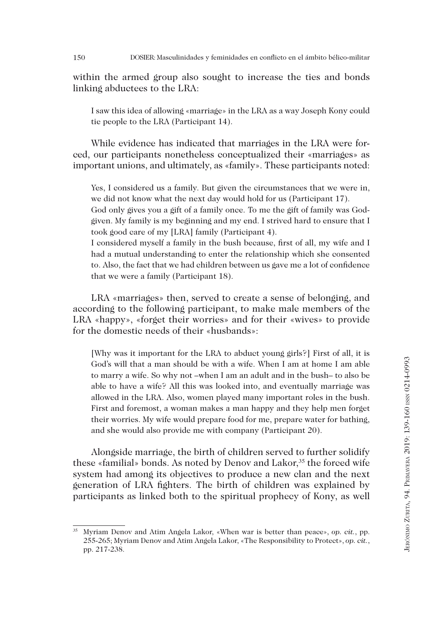within the armed group also sought to increase the ties and bonds linking abductees to the LRA:

I saw this idea of allowing «marriage» in the LRA as a way Joseph Kony could tie people to the LRA (Participant 14).

While evidence has indicated that marriages in the LRA were forced, our participants nonetheless conceptualized their «marriages» as important unions, and ultimately, as «family». These participants noted:

Yes, I considered us a family. But given the circumstances that we were in, we did not know what the next day would hold for us (Participant 17).

God only gives you a gift of a family once. To me the gift of family was Godgiven. My family is my beginning and my end. I strived hard to ensure that I took good care of my [LRA] family (Participant 4).

I considered myself a family in the bush because, first of all, my wife and I had a mutual understanding to enter the relationship which she consented to. Also, the fact that we had children between us gave me a lot of confidence that we were a family (Participant 18).

LRA «marriages» then, served to create a sense of belonging, and according to the following participant, to make male members of the LRA «happy», «forget their worries» and for their «wives» to provide for the domestic needs of their «husbands»:

[Why was it important for the LRA to abduct young girls?] First of all, it is God's will that a man should be with a wife. When I am at home I am able to marry a wife. So why not –when I am an adult and in the bush– to also be able to have a wife? All this was looked into, and eventually marriage was allowed in the LRA. Also, women played many important roles in the bush. First and foremost, a woman makes a man happy and they help men forget their worries. My wife would prepare food for me, prepare water for bathing, and she would also provide me with company (Participant 20).

Alongside marriage, the birth of children served to further solidify these «familial» bonds. As noted by Denov and Lakor,<sup>35</sup> the forced wife system had among its objectives to produce a new clan and the next generation of LRA fighters. The birth of children was explained by participants as linked both to the spiritual prophecy of Kony, as well

<sup>35</sup> Myriam Denov and Atim Angela Lakor, «When war is better than peace», *op. cit.*, pp. 255-265; Myriam Denov and Atim Angela Lakor, «The Responsibility to Protect», *op. cit.*, pp. 217-238.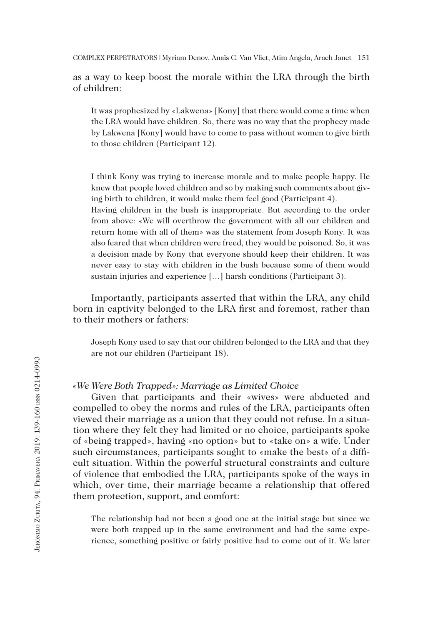151 COMPLEX PERPETRATORS | Myriam Denov, Anaïs C. Van Vliet, Atim Angela, Arach Janet

as a way to keep boost the morale within the LRA through the birth of children:

It was prophesized by «Lakwena» [Kony] that there would come a time when the LRA would have children. So, there was no way that the prophecy made by Lakwena [Kony] would have to come to pass without women to give birth to those children (Participant 12).

I think Kony was trying to increase morale and to make people happy. He knew that people loved children and so by making such comments about giving birth to children, it would make them feel good (Participant 4).

Having children in the bush is inappropriate. But according to the order from above: «We will overthrow the government with all our children and return home with all of them» was the statement from Joseph Kony. It was also feared that when children were freed, they would be poisoned. So, it was a decision made by Kony that everyone should keep their children. It was never easy to stay with children in the bush because some of them would sustain injuries and experience […] harsh conditions (Participant 3).

Importantly, participants asserted that within the LRA, any child born in captivity belonged to the LRA first and foremost, rather than to their mothers or fathers:

Joseph Kony used to say that our children belonged to the LRA and that they are not our children (Participant 18).

#### *«We Were Both Trapped»: Marriage as Limited Choice*

Given that participants and their «wives» were abducted and compelled to obey the norms and rules of the LRA, participants often viewed their marriage as a union that they could not refuse. In a situation where they felt they had limited or no choice, participants spoke of «being trapped», having «no option» but to «take on» a wife. Under such circumstances, participants sought to «make the best» of a difficult situation. Within the powerful structural constraints and culture of violence that embodied the LRA, participants spoke of the ways in which, over time, their marriage became a relationship that offered them protection, support, and comfort:

The relationship had not been a good one at the initial stage but since we were both trapped up in the same environment and had the same experience, something positive or fairly positive had to come out of it. We later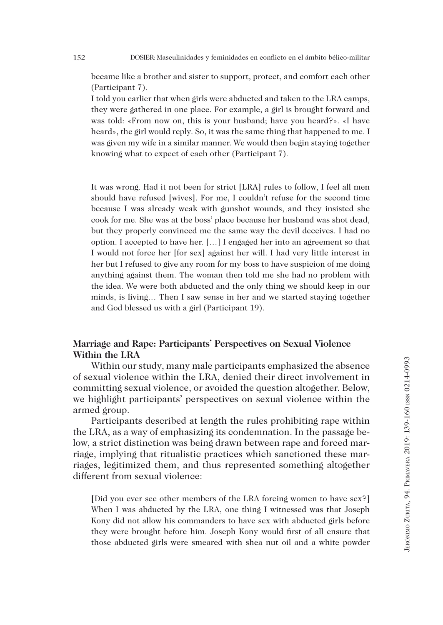152 DOSIER: Masculinidades y feminidades en conflicto en el ámbito bélico-militar

became like a brother and sister to support, protect, and comfort each other (Participant 7).

I told you earlier that when girls were abducted and taken to the LRA camps, they were gathered in one place. For example, a girl is brought forward and was told: «From now on, this is your husband; have you heard?». «I have heard», the girl would reply. So, it was the same thing that happened to me. I was given my wife in a similar manner. We would then begin staying together knowing what to expect of each other (Participant 7).

It was wrong. Had it not been for strict [LRA] rules to follow, I feel all men should have refused [wives]. For me, I couldn't refuse for the second time because I was already weak with gunshot wounds, and they insisted she cook for me. She was at the boss' place because her husband was shot dead, but they properly convinced me the same way the devil deceives. I had no option. I accepted to have her. […] I engaged her into an agreement so that I would not force her [for sex] against her will. I had very little interest in her but I refused to give any room for my boss to have suspicion of me doing anything against them. The woman then told me she had no problem with the idea. We were both abducted and the only thing we should keep in our minds, is living… Then I saw sense in her and we started staying together and God blessed us with a girl (Participant 19).

# **Marriage and Rape: Participants' Perspectives on Sexual Violence Within the LRA**

Within our study, many male participants emphasized the absence of sexual violence within the LRA, denied their direct involvement in committing sexual violence, or avoided the question altogether. Below, we highlight participants' perspectives on sexual violence within the armed group.

Participants described at length the rules prohibiting rape within the LRA, as a way of emphasizing its condemnation. In the passage below, a strict distinction was being drawn between rape and forced marriage, implying that ritualistic practices which sanctioned these marriages, legitimized them, and thus represented something altogether different from sexual violence:

**[**Did you ever see other members of the LRA forcing women to have sex?] When I was abducted by the LRA, one thing I witnessed was that Joseph Kony did not allow his commanders to have sex with abducted girls before they were brought before him. Joseph Kony would first of all ensure that those abducted girls were smeared with shea nut oil and a white powder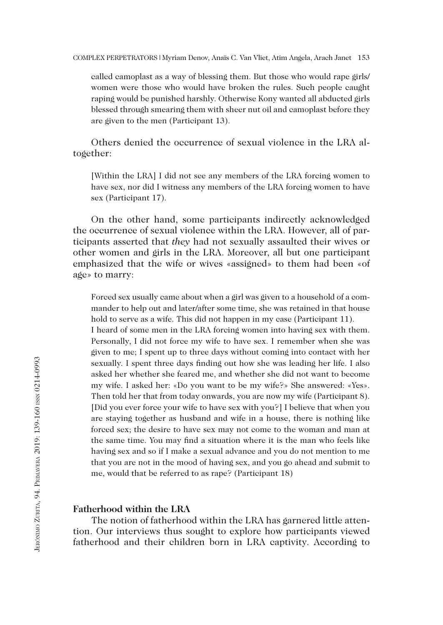called camoplast as a way of blessing them. But those who would rape girls/ women were those who would have broken the rules. Such people caught raping would be punished harshly. Otherwise Kony wanted all abducted girls blessed through smearing them with sheer nut oil and camoplast before they are given to the men (Participant 13).

Others denied the occurrence of sexual violence in the LRA altogether:

[Within the LRA] I did not see any members of the LRA forcing women to have sex, nor did I witness any members of the LRA forcing women to have sex (Participant 17).

On the other hand, some participants indirectly acknowledged the occurrence of sexual violence within the LRA. However, all of participants asserted that *they* had not sexually assaulted their wives or other women and girls in the LRA. Moreover, all but one participant emphasized that the wife or wives «assigned» to them had been «of age» to marry:

Forced sex usually came about when a girl was given to a household of a commander to help out and later/after some time, she was retained in that house hold to serve as a wife. This did not happen in my case (Participant 11). I heard of some men in the LRA forcing women into having sex with them. Personally, I did not force my wife to have sex. I remember when she was given to me; I spent up to three days without coming into contact with her sexually. I spent three days finding out how she was leading her life. I also asked her whether she feared me, and whether she did not want to become my wife. I asked her: «Do you want to be my wife?» She answered: «Yes». Then told her that from today onwards, you are now my wife (Participant 8). [Did you ever force your wife to have sex with you?] I believe that when you are staying together as husband and wife in a house, there is nothing like forced sex; the desire to have sex may not come to the woman and man at the same time. You may find a situation where it is the man who feels like having sex and so if I make a sexual advance and you do not mention to me that you are not in the mood of having sex, and you go ahead and submit to me, would that be referred to as rape? (Participant 18)

# **Fatherhood within the LRA**

The notion of fatherhood within the LRA has garnered little attention. Our interviews thus sought to explore how participants viewed fatherhood and their children born in LRA captivity. According to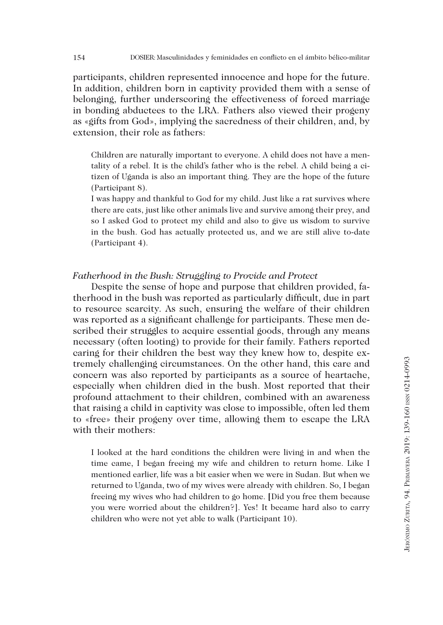participants, children represented innocence and hope for the future. In addition, children born in captivity provided them with a sense of belonging, further underscoring the effectiveness of forced marriage in bonding abductees to the LRA. Fathers also viewed their progeny as «gifts from God», implying the sacredness of their children, and, by extension, their role as fathers:

Children are naturally important to everyone. A child does not have a mentality of a rebel. It is the child's father who is the rebel. A child being a citizen of Uganda is also an important thing. They are the hope of the future (Participant 8).

I was happy and thankful to God for my child. Just like a rat survives where there are cats, just like other animals live and survive among their prey, and so I asked God to protect my child and also to give us wisdom to survive in the bush. God has actually protected us, and we are still alive to-date (Participant 4).

# *Fatherhood in the Bush: Struggling to Provide and Protect*

Despite the sense of hope and purpose that children provided, fatherhood in the bush was reported as particularly difficult, due in part to resource scarcity. As such, ensuring the welfare of their children was reported as a significant challenge for participants. These men described their struggles to acquire essential goods, through any means necessary (often looting) to provide for their family. Fathers reported caring for their children the best way they knew how to, despite extremely challenging circumstances. On the other hand, this care and concern was also reported by participants as a source of heartache, especially when children died in the bush. Most reported that their profound attachment to their children, combined with an awareness that raising a child in captivity was close to impossible, often led them to «free» their progeny over time, allowing them to escape the LRA with their mothers:

I looked at the hard conditions the children were living in and when the time came, I began freeing my wife and children to return home. Like I mentioned earlier, life was a bit easier when we were in Sudan. But when we returned to Uganda, two of my wives were already with children. So, I began freeing my wives who had children to go home. **[**Did you free them because you were worried about the children?]. Yes! It became hard also to carry children who were not yet able to walk (Participant 10).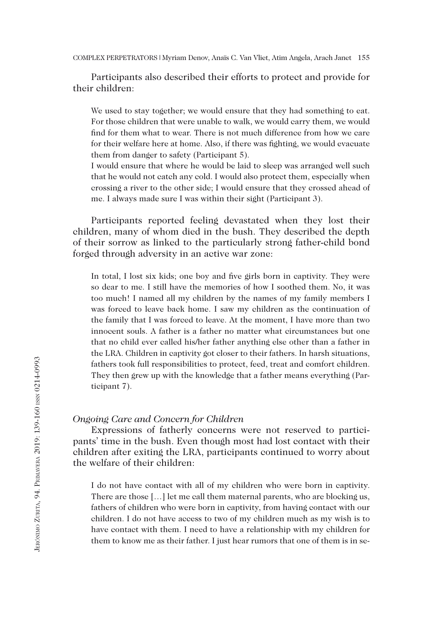Participants also described their efforts to protect and provide for their children:

We used to stay together; we would ensure that they had something to eat. For those children that were unable to walk, we would carry them, we would find for them what to wear. There is not much difference from how we care for their welfare here at home. Also, if there was fighting, we would evacuate them from danger to safety (Participant 5).

I would ensure that where he would be laid to sleep was arranged well such that he would not catch any cold. I would also protect them, especially when crossing a river to the other side; I would ensure that they crossed ahead of me. I always made sure I was within their sight (Participant 3).

Participants reported feeling devastated when they lost their children, many of whom died in the bush. They described the depth of their sorrow as linked to the particularly strong father-child bond forged through adversity in an active war zone:

In total, I lost six kids; one boy and five girls born in captivity. They were so dear to me. I still have the memories of how I soothed them. No, it was too much! I named all my children by the names of my family members I was forced to leave back home. I saw my children as the continuation of the family that I was forced to leave. At the moment, I have more than two innocent souls. A father is a father no matter what circumstances but one that no child ever called his/her father anything else other than a father in the LRA. Children in captivity got closer to their fathers. In harsh situations, fathers took full responsibilities to protect, feed, treat and comfort children. They then grew up with the knowledge that a father means everything (Participant 7).

#### *Ongoing Care and Concern for Children*

Expressions of fatherly concerns were not reserved to participants' time in the bush. Even though most had lost contact with their children after exiting the LRA, participants continued to worry about the welfare of their children:

I do not have contact with all of my children who were born in captivity. There are those […] let me call them maternal parents, who are blocking us, fathers of children who were born in captivity, from having contact with our children. I do not have access to two of my children much as my wish is to have contact with them. I need to have a relationship with my children for them to know me as their father. I just hear rumors that one of them is in se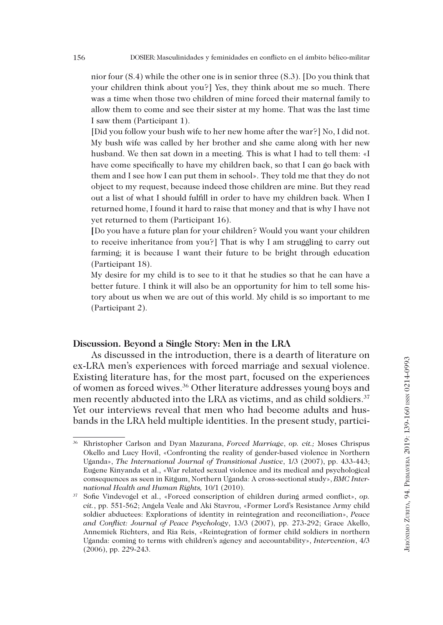nior four (S.4) while the other one is in senior three (S.3). [Do you think that your children think about you?] Yes, they think about me so much. There was a time when those two children of mine forced their maternal family to allow them to come and see their sister at my home. That was the last time I saw them (Participant 1).

[Did you follow your bush wife to her new home after the war?] No, I did not. My bush wife was called by her brother and she came along with her new husband. We then sat down in a meeting. This is what I had to tell them: «I have come specifically to have my children back, so that I can go back with them and I see how I can put them in school». They told me that they do not object to my request, because indeed those children are mine. But they read out a list of what I should fulfill in order to have my children back. When I returned home, I found it hard to raise that money and that is why I have not yet returned to them (Participant 16).

**[**Do you have a future plan for your children? Would you want your children to receive inheritance from you?] That is why I am struggling to carry out farming; it is because I want their future to be bright through education (Participant 18).

My desire for my child is to see to it that he studies so that he can have a better future. I think it will also be an opportunity for him to tell some history about us when we are out of this world. My child is so important to me (Participant 2).

## **Discussion. Beyond a Single Story: Men in the LRA**

As discussed in the introduction, there is a dearth of literature on ex-LRA men's experiences with forced marriage and sexual violence. Existing literature has, for the most part, focused on the experiences of women as forced wives.36 Other literature addresses young boys and men recently abducted into the LRA as victims, and as child soldiers.<sup>37</sup> Yet our interviews reveal that men who had become adults and husbands in the LRA held multiple identities. In the present study, partici-

<sup>36</sup> Khristopher Carlson and Dyan Mazurana, *Forced Marriage*, *op. cit.;* Moses Chrispus Okello and Lucy Hovil, «Confronting the reality of gender-based violence in Northern Uganda», *The International Journal of Transitional Justice*, 1/3 (2007), pp. 433-443; Eugene Kinyanda et al., «War related sexual violence and its medical and psychological consequences as seen in Kitgum, Northern Uganda: A cross-sectional study», *BMC International Health and Human Rights,* 10/1 (2010).

<sup>37</sup> Sofie Vindevogel et al., «Forced conscription of children during armed conflict», *op. cit.*, pp. 551-562; Angela Veale and Aki Stavrou, «Former Lord's Resistance Army child soldier abductees: Explorations of identity in reintegration and reconciliation», *Peace and Conflict: Journal of Peace Psychology*, 13/3 (2007), pp. 273-292; Grace Akello, Annemiek Richters, and Ria Reis, «Reintegration of former child soldiers in northern Uganda: coming to terms with children's agency and accountability», *Intervention*, 4/3 (2006), pp. 229-243.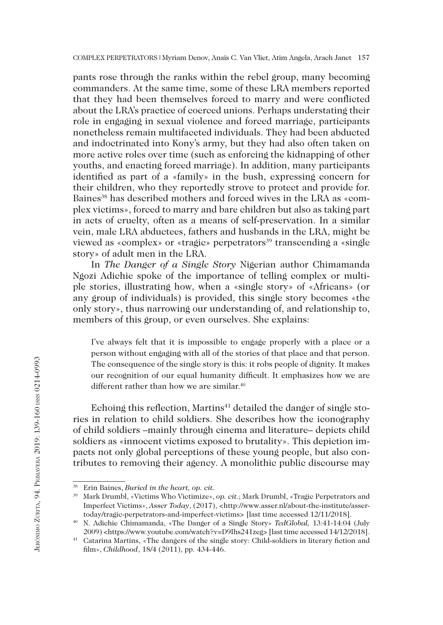pants rose through the ranks within the rebel group, many becoming commanders. At the same time, some of these LRA members reported that they had been themselves forced to marry and were conflicted about the LRA's practice of coerced unions. Perhaps understating their role in engaging in sexual violence and forced marriage, participants nonetheless remain multifaceted individuals. They had been abducted and indoctrinated into Kony's army, but they had also often taken on more active roles over time (such as enforcing the kidnapping of other youths, and enacting forced marriage). In addition, many participants identified as part of a «family» in the bush, expressing concern for their children, who they reportedly strove to protect and provide for. Baines<sup>38</sup> has described mothers and forced wives in the LRA as «complex victims», forced to marry and bare children but also as taking part in acts of cruelty, often as a means of self-preservation. In a similar vein, male LRA abductees, fathers and husbands in the LRA, might be viewed as «complex» or «tragic» perpetrators<sup>39</sup> transcending a «single story» of adult men in the LRA.

In *The Danger of a Single Story* Nigerian author Chimamanda Ngozi Adichie spoke of the importance of telling complex or multiple stories, illustrating how, when a «single story» of «Africans» (or any group of individuals) is provided, this single story becomes «the only story», thus narrowing our understanding of, and relationship to, members of this group, or even ourselves. She explains:

I've always felt that it is impossible to engage properly with a place or a person without engaging with all of the stories of that place and that person. The consequence of the single story is this: it robs people of dignity. It makes our recognition of our equal humanity difficult. It emphasizes how we are different rather than how we are similar.<sup>40</sup>

Echoing this reflection, Martins<sup>41</sup> detailed the danger of single stories in relation to child soldiers. She describes how the iconography of child soldiers –mainly through cinema and literature– depicts child soldiers as «innocent victims exposed to brutality». This depiction impacts not only global perceptions of these young people, but also contributes to removing their agency. A monolithic public discourse may

<sup>38</sup> Erin Baines, *Buried in the heart, op. cit.*

<sup>39</sup> Mark Drumbl, «Victims Who Victimize», *op. cit.*; Mark Drumbl, «Tragic Perpetrators and Imperfect Victims», *Asser Today*, (2017), <http://www.asser.nl/about-the-institute/assertoday/tragic-perpetrators-and-imperfect-victims> [last time accessed 12/11/2018].

<sup>40</sup> N. Adichie Chimamanda, «The Danger of a Single Story» *TedGlobal,* 13:41-14:04 (July 2009) <https://www.youtube.com/watch?v=D9Ihs241zeg> [last time accessed 14/12/2018].

<sup>41</sup> Catarina Martins, «The dangers of the single story: Child-soldiers in literary fiction and film», *Childhood*, 18/4 (2011), pp. 434-446.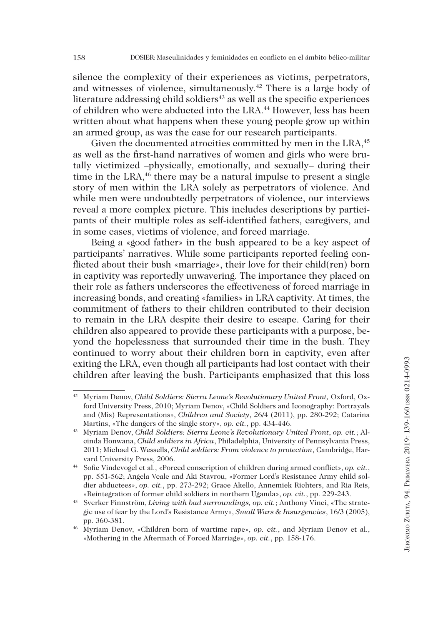silence the complexity of their experiences as victims, perpetrators, and witnesses of violence, simultaneously.42 There is a large body of literature addressing child soldiers $43$  as well as the specific experiences of children who were abducted into the LRA.44 However, less has been written about what happens when these young people grow up within an armed group, as was the case for our research participants.

Given the documented atrocities committed by men in the LRA,<sup>45</sup> as well as the first-hand narratives of women and girls who were brutally victimized –physically, emotionally, and sexually– during their time in the LRA, $46$  there may be a natural impulse to present a single story of men within the LRA solely as perpetrators of violence. And while men were undoubtedly perpetrators of violence, our interviews reveal a more complex picture. This includes descriptions by participants of their multiple roles as self-identified fathers, caregivers, and in some cases, victims of violence, and forced marriage.

Being a «good father» in the bush appeared to be a key aspect of participants' narratives. While some participants reported feeling conflicted about their bush «marriage», their love for their child(ren) born in captivity was reportedly unwavering. The importance they placed on their role as fathers underscores the effectiveness of forced marriage in increasing bonds, and creating «families» in LRA captivity. At times, the commitment of fathers to their children contributed to their decision to remain in the LRA despite their desire to escape. Caring for their children also appeared to provide these participants with a purpose, beyond the hopelessness that surrounded their time in the bush. They continued to worry about their children born in captivity, even after exiting the LRA, even though all participants had lost contact with their children after leaving the bush. Participants emphasized that this loss

<sup>&</sup>lt;sup>42</sup> Myriam Denov, *Child Soldiers: Sierra Leone's Revolutionary United Front*, Oxford, Oxford University Press, 2010; Myriam Denov, «Child Soldiers and Iconography: Portrayals and (Mis) Representations», *Children and Society*, 26/4 (2011), pp. 280-292; Catarina Martins, «The dangers of the single story», *op. cit.*, pp. 434-446.

<sup>43</sup> Myriam Denov, *Child Soldiers: Sierra Leone's Revolutionary United Front*, *op. cit.*; Alcinda Honwana, *Child soldiers in Africa*, Philadelphia, University of Pennsylvania Press, 2011; Michael G. Wessells, *Child soldiers: From violence to protection*, Cambridge, Harvard University Press, 2006.

<sup>44</sup> Sofie Vindevogel et al., «Forced conscription of children during armed conflict», *op. cit.*, pp. 551-562; Angela Veale and Aki Stavrou, «Former Lord's Resistance Army child soldier abductees», *op. cit.*, pp. 273-292; Grace Akello, Annemiek Richters, and Ria Reis, «Reintegration of former child soldiers in northern Uganda», *op. cit.*, pp. 229-243.

<sup>45</sup> Sverker Finnström, *Living with bad surroundings, op. cit.*; Anthony Vinci, «The strategic use of fear by the Lord's Resistance Army», *Small Wars & Insurgencies*, 16/3 (2005), pp. 360-381.

<sup>46</sup> Myriam Denov, «Children born of wartime rape», *op. cit.*, and Myriam Denov et al., «Mothering in the Aftermath of Forced Marriage», *op. cit.*, pp. 158-176.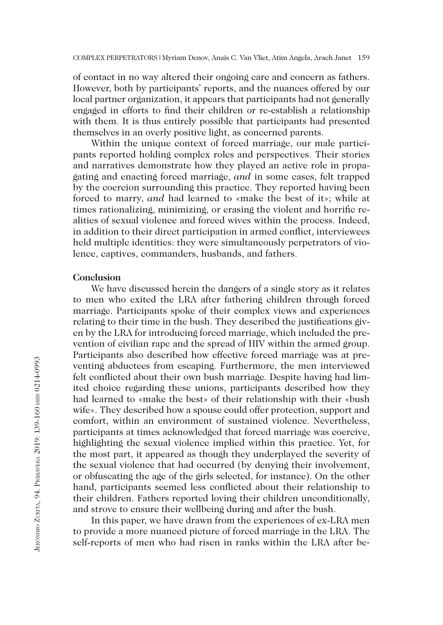of contact in no way altered their ongoing care and concern as fathers. However, both by participants' reports, and the nuances offered by our local partner organization, it appears that participants had not generally engaged in efforts to find their children or re-establish a relationship with them. It is thus entirely possible that participants had presented themselves in an overly positive light, as concerned parents.

Within the unique context of forced marriage, our male participants reported holding complex roles and perspectives. Their stories and narratives demonstrate how they played an active role in propagating and enacting forced marriage, *and* in some cases, felt trapped by the coercion surrounding this practice. They reported having been forced to marry, *and* had learned to «make the best of it»; while at times rationalizing, minimizing, or erasing the violent and horrific realities of sexual violence and forced wives within the process. Indeed, in addition to their direct participation in armed conflict, interviewees held multiple identities: they were simultaneously perpetrators of violence, captives, commanders, husbands, and fathers.

## **Conclusion**

We have discussed herein the dangers of a single story as it relates to men who exited the LRA after fathering children through forced marriage. Participants spoke of their complex views and experiences relating to their time in the bush. They described the justifications given by the LRA for introducing forced marriage, which included the prevention of civilian rape and the spread of HIV within the armed group. Participants also described how effective forced marriage was at preventing abductees from escaping. Furthermore, the men interviewed felt conflicted about their own bush marriage. Despite having had limited choice regarding these unions, participants described how they had learned to «make the best» of their relationship with their «bush wife». They described how a spouse could offer protection, support and comfort, within an environment of sustained violence. Nevertheless, participants at times acknowledged that forced marriage was coercive, highlighting the sexual violence implied within this practice. Yet, for the most part, it appeared as though they underplayed the severity of the sexual violence that had occurred (by denying their involvement, or obfuscating the age of the girls selected, for instance). On the other hand, participants seemed less conflicted about their relationship to their children. Fathers reported loving their children unconditionally, and strove to ensure their wellbeing during and after the bush.

In this paper, we have drawn from the experiences of ex-LRA men to provide a more nuanced picture of forced marriage in the LRA. The self-reports of men who had risen in ranks within the LRA after be